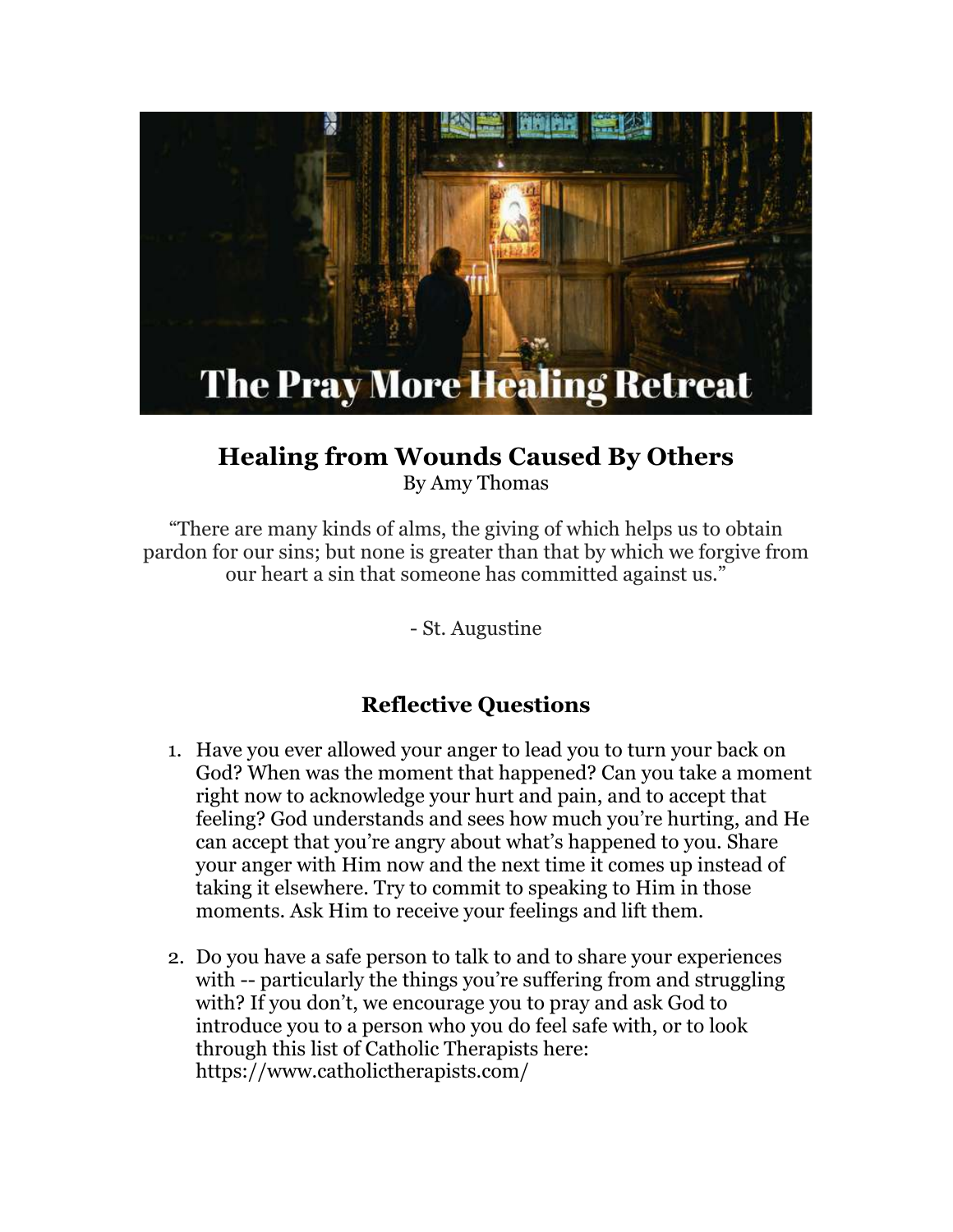

## **Healing from Wounds Caused By Others** By Amy Thomas

"There are many kinds of alms, the giving of which helps us to obtain pardon for our sins; but none is greater than that by which we forgive from our heart a sin that someone has committed against us."

- St. Augustine

## **Reflective Questions**

- 1. Have you ever allowed your anger to lead you to turn your back on God? When was the moment that happened? Can you take a moment right now to acknowledge your hurt and pain, and to accept that feeling? God understands and sees how much you're hurting, and He can accept that you're angry about what's happened to you. Share your anger with Him now and the next time it comes up instead of taking it elsewhere. Try to commit to speaking to Him in those moments. Ask Him to receive your feelings and lift them.
- 2. Do you have a safe person to talk to and to share your experiences with -- particularly the things you're suffering from and struggling with? If you don't, we encourage you to pray and ask God to introduce you to a person who you do feel safe with, or to look through this list of Catholic Therapists here: https://www.catholictherapists.com/